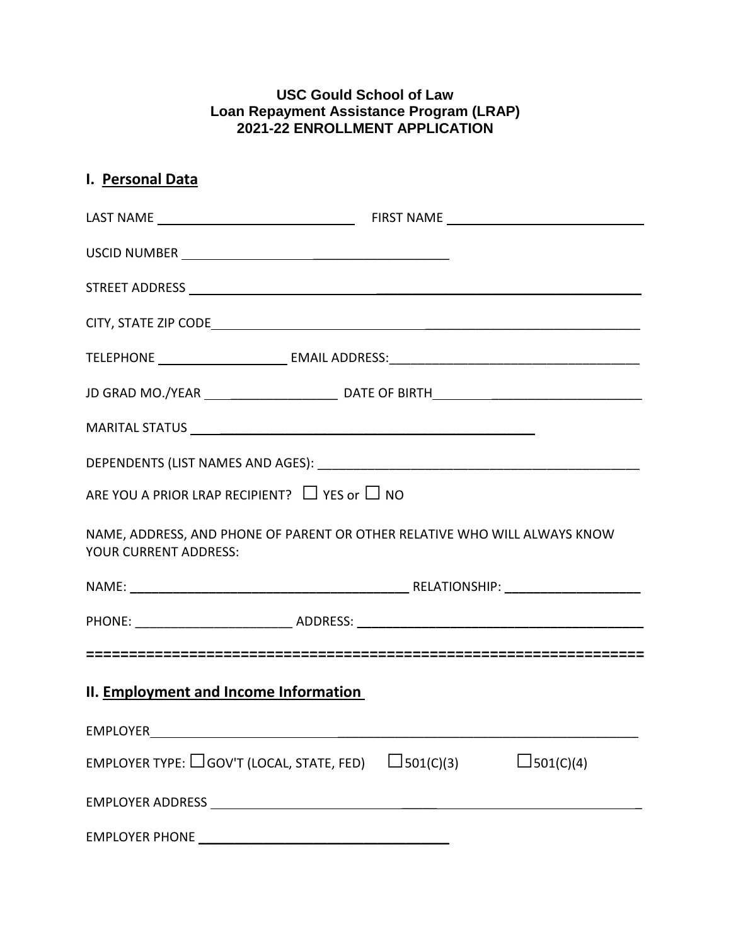## **USC Gould School of Law Loan Repayment Assistance Program (LRAP) 2021-22 ENROLLMENT APPLICATION**

| I. Personal Data                      |                                                                                   |  |
|---------------------------------------|-----------------------------------------------------------------------------------|--|
|                                       |                                                                                   |  |
|                                       |                                                                                   |  |
|                                       |                                                                                   |  |
|                                       |                                                                                   |  |
|                                       |                                                                                   |  |
|                                       |                                                                                   |  |
|                                       |                                                                                   |  |
|                                       |                                                                                   |  |
|                                       | ARE YOU A PRIOR LRAP RECIPIENT? $\Box$ YES or $\Box$ NO                           |  |
| <b>YOUR CURRENT ADDRESS:</b>          | NAME, ADDRESS, AND PHONE OF PARENT OR OTHER RELATIVE WHO WILL ALWAYS KNOW         |  |
|                                       |                                                                                   |  |
|                                       |                                                                                   |  |
|                                       |                                                                                   |  |
| II. Employment and Income Information |                                                                                   |  |
|                                       |                                                                                   |  |
|                                       | EMPLOYER TYPE: $\Box$ GOV'T (LOCAL, STATE, FED) $\Box$ 501(C)(3)<br>$L$ 501(C)(4) |  |
|                                       |                                                                                   |  |
|                                       |                                                                                   |  |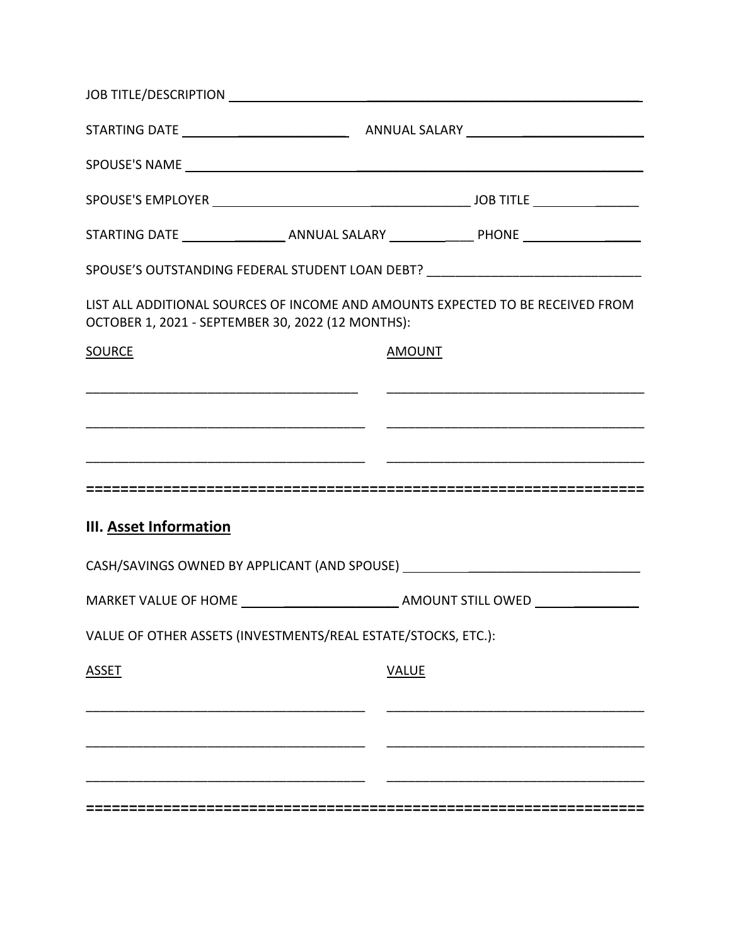|                                                   | JOB TITLE/DESCRIPTION NAMES AND THE RESERVE TO A REPORT OF THE RESERVE TO A REPORT OF THE RESERVE TO A REPORT OF THE RESERVE TO A REPORT OF THE RESERVE TO A REPORT OF THE REPORT OF THE RESERVE TO A REPORT OF THE REPORT OF |                                                                                  |  |  |  |
|---------------------------------------------------|-------------------------------------------------------------------------------------------------------------------------------------------------------------------------------------------------------------------------------|----------------------------------------------------------------------------------|--|--|--|
|                                                   |                                                                                                                                                                                                                               |                                                                                  |  |  |  |
|                                                   |                                                                                                                                                                                                                               |                                                                                  |  |  |  |
|                                                   |                                                                                                                                                                                                                               |                                                                                  |  |  |  |
|                                                   |                                                                                                                                                                                                                               |                                                                                  |  |  |  |
|                                                   |                                                                                                                                                                                                                               | SPOUSE'S OUTSTANDING FEDERAL STUDENT LOAN DEBT? ________________________________ |  |  |  |
| OCTOBER 1, 2021 - SEPTEMBER 30, 2022 (12 MONTHS): |                                                                                                                                                                                                                               | LIST ALL ADDITIONAL SOURCES OF INCOME AND AMOUNTS EXPECTED TO BE RECEIVED FROM   |  |  |  |
| <b>SOURCE</b>                                     | <b>AMOUNT</b>                                                                                                                                                                                                                 |                                                                                  |  |  |  |
|                                                   |                                                                                                                                                                                                                               |                                                                                  |  |  |  |
|                                                   |                                                                                                                                                                                                                               |                                                                                  |  |  |  |
|                                                   |                                                                                                                                                                                                                               |                                                                                  |  |  |  |
|                                                   |                                                                                                                                                                                                                               |                                                                                  |  |  |  |
| <b>III. Asset Information</b>                     |                                                                                                                                                                                                                               |                                                                                  |  |  |  |
|                                                   |                                                                                                                                                                                                                               | CASH/SAVINGS OWNED BY APPLICANT (AND SPOUSE) ___________________________________ |  |  |  |
|                                                   |                                                                                                                                                                                                                               |                                                                                  |  |  |  |
|                                                   | VALUE OF OTHER ASSETS (INVESTMENTS/REAL ESTATE/STOCKS, ETC.):                                                                                                                                                                 |                                                                                  |  |  |  |
| <b>ASSET</b>                                      | <b>VALUE</b>                                                                                                                                                                                                                  |                                                                                  |  |  |  |
|                                                   |                                                                                                                                                                                                                               |                                                                                  |  |  |  |
|                                                   |                                                                                                                                                                                                                               |                                                                                  |  |  |  |
|                                                   |                                                                                                                                                                                                                               |                                                                                  |  |  |  |
|                                                   |                                                                                                                                                                                                                               |                                                                                  |  |  |  |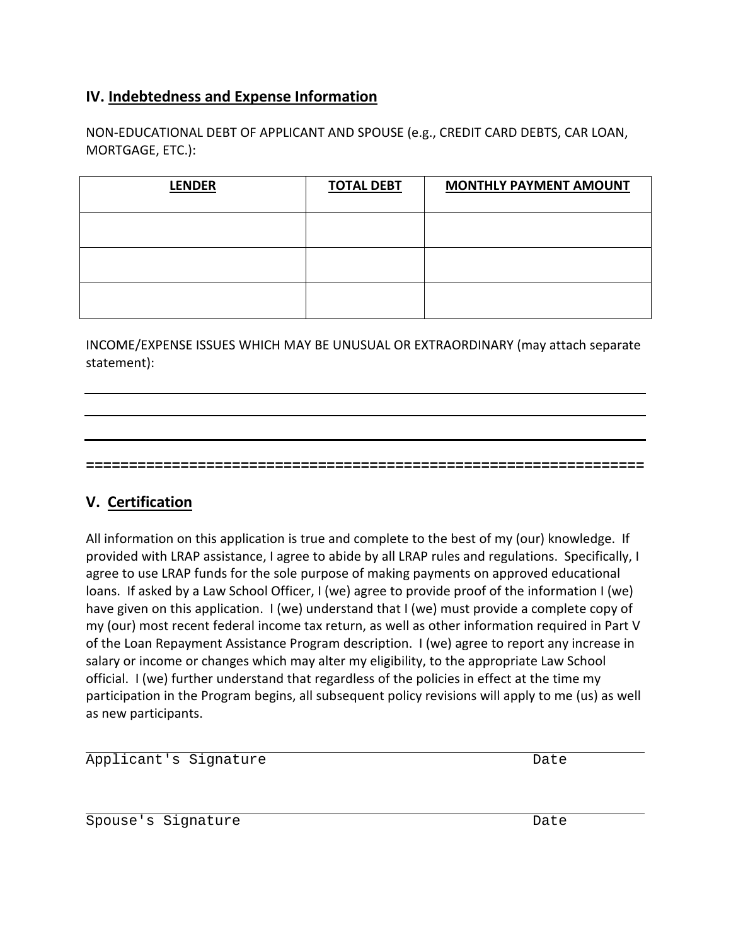# **IV. Indebtedness and Expense Information**

NON-EDUCATIONAL DEBT OF APPLICANT AND SPOUSE (e.g., CREDIT CARD DEBTS, CAR LOAN, MORTGAGE, ETC.):

| <b>LENDER</b> | <b>TOTAL DEBT</b> | <b>MONTHLY PAYMENT AMOUNT</b> |
|---------------|-------------------|-------------------------------|
|               |                   |                               |
|               |                   |                               |
|               |                   |                               |

INCOME/EXPENSE ISSUES WHICH MAY BE UNUSUAL OR EXTRAORDINARY (may attach separate statement):

**=================================================================**

## **V. Certification**

All information on this application is true and complete to the best of my (our) knowledge. If provided with LRAP assistance, I agree to abide by all LRAP rules and regulations. Specifically, I agree to use LRAP funds for the sole purpose of making payments on approved educational loans. If asked by a Law School Officer, I (we) agree to provide proof of the information I (we) have given on this application. I (we) understand that I (we) must provide a complete copy of my (our) most recent federal income tax return, as well as other information required in Part V of the Loan Repayment Assistance Program description. I (we) agree to report any increase in salary or income or changes which may alter my eligibility, to the appropriate Law School official. I (we) further understand that regardless of the policies in effect at the time my participation in the Program begins, all subsequent policy revisions will apply to me (us) as well as new participants.

j. Applicant's Signature and Date Date

Spouse's Signature Date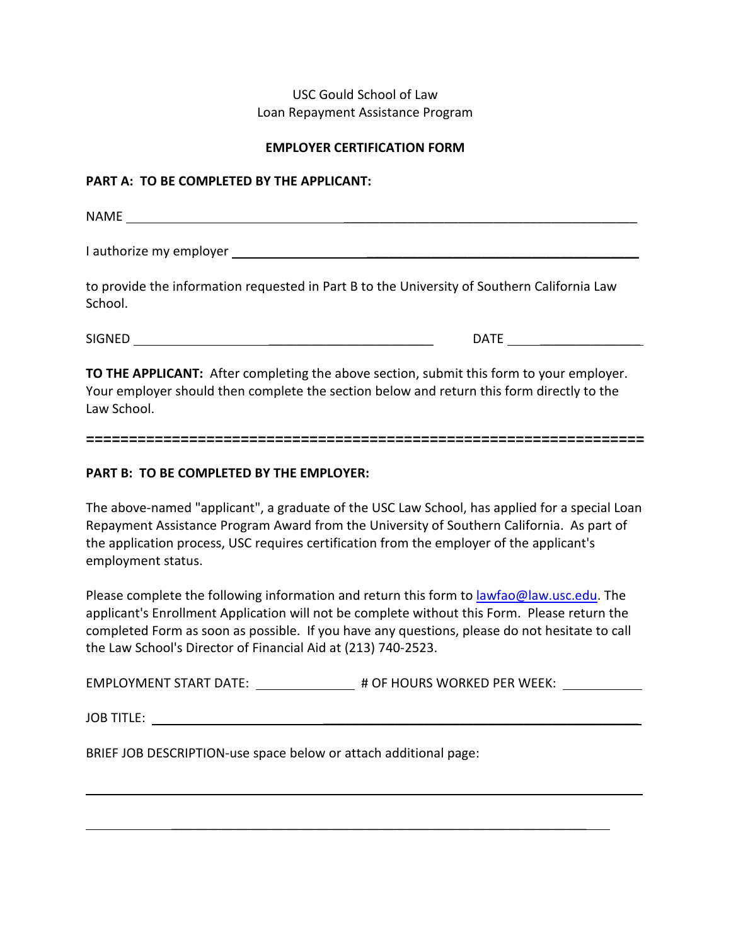### USC Gould School of Law Loan Repayment Assistance Program

#### **EMPLOYER CERTIFICATION FORM**

#### **PART A: TO BE COMPLETED BY THE APPLICANT:**

NAME \_\_\_\_\_\_\_\_\_\_\_\_\_\_\_\_\_\_\_\_\_\_\_\_\_\_\_\_\_\_\_\_\_\_\_\_\_\_\_\_\_

I authorize my employer \_\_\_\_\_\_\_\_\_\_\_\_\_\_\_\_\_\_\_\_\_\_\_\_\_\_\_\_\_\_\_\_\_\_\_\_\_\_

to provide the information requested in Part B to the University of Southern California Law School.

SIGNED \_\_\_\_\_\_\_\_\_\_\_\_\_\_\_\_\_\_\_\_\_\_\_ DATE \_\_\_\_\_\_\_\_\_\_\_\_\_\_

**TO THE APPLICANT:** After completing the above section, submit this form to your employer. Your employer should then complete the section below and return this form directly to the Law School.

#### **=================================================================**

### **PART B: TO BE COMPLETED BY THE EMPLOYER:**

The above-named "applicant", a graduate of the USC Law School, has applied for a special Loan Repayment Assistance Program Award from the University of Southern California. As part of the application process, USC requires certification from the employer of the applicant's employment status.

Please complete the following information and return this form to [lawfao@law.usc.edu.](mailto:lawfao@law.usc.edu) The applicant's Enrollment Application will not be complete without this Form. Please return the completed Form as soon as possible. If you have any questions, please do not hesitate to call the Law School's Director of Financial Aid at (213) 740-2523.

EMPLOYMENT START DATE: \_\_\_\_\_\_\_\_\_\_\_\_\_\_\_\_\_\_ # OF HOURS WORKED PER WEEK: \_\_\_\_\_\_\_\_\_\_

 $\mathcal{L}_\text{max}$  , and the contract of the contract of the contract of the contract of the contract of the contract of the contract of the contract of the contract of the contract of the contract of the contract of the contr

JOB TITLE: \_\_\_\_\_\_\_\_\_\_\_\_\_\_\_\_\_\_\_\_\_\_\_\_\_\_\_\_\_\_\_\_\_\_\_\_\_\_\_\_\_\_\_\_

l

BRIEF JOB DESCRIPTION-use space below or attach additional page: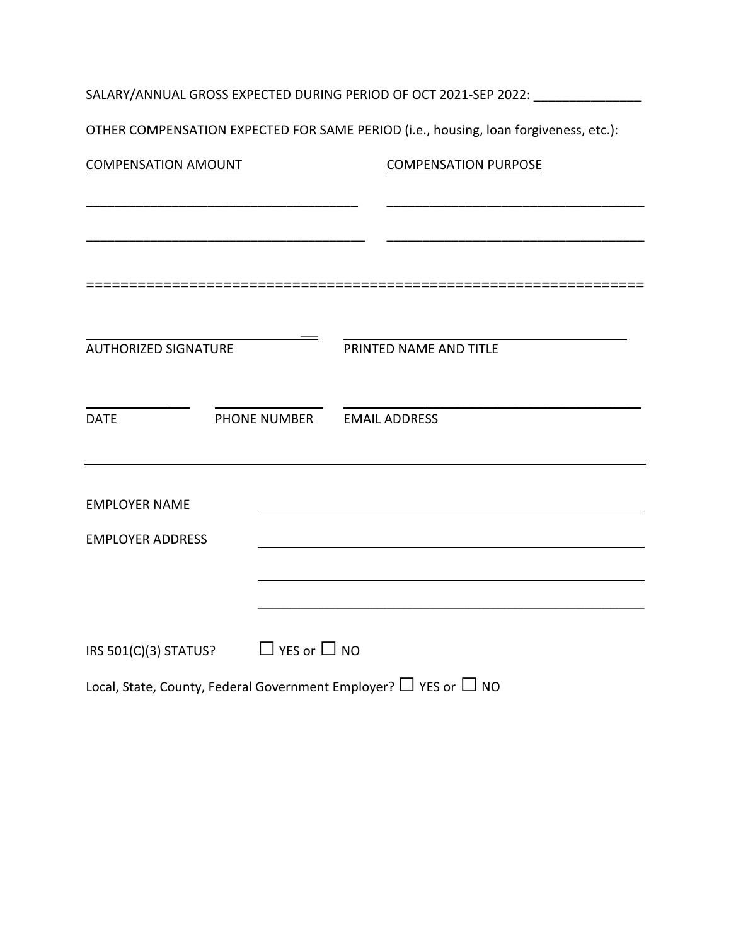| SALARY/ANNUAL GROSS EXPECTED DURING PERIOD OF OCT 2021-SEP 2022: _______________ |                            |                                                                                      |  |  |  |
|----------------------------------------------------------------------------------|----------------------------|--------------------------------------------------------------------------------------|--|--|--|
|                                                                                  |                            | OTHER COMPENSATION EXPECTED FOR SAME PERIOD (i.e., housing, loan forgiveness, etc.): |  |  |  |
| <b>COMPENSATION AMOUNT</b>                                                       |                            | <b>COMPENSATION PURPOSE</b>                                                          |  |  |  |
|                                                                                  |                            |                                                                                      |  |  |  |
|                                                                                  |                            |                                                                                      |  |  |  |
|                                                                                  |                            |                                                                                      |  |  |  |
|                                                                                  |                            |                                                                                      |  |  |  |
| AUTHORIZED SIGNATURE                                                             |                            | PRINTED NAME AND TITLE                                                               |  |  |  |
|                                                                                  |                            |                                                                                      |  |  |  |
| <b>DATE</b>                                                                      | PHONE NUMBER EMAIL ADDRESS |                                                                                      |  |  |  |
| <b>EMPLOYER NAME</b>                                                             |                            |                                                                                      |  |  |  |
| <b>EMPLOYER ADDRESS</b>                                                          |                            |                                                                                      |  |  |  |
|                                                                                  |                            |                                                                                      |  |  |  |
|                                                                                  |                            |                                                                                      |  |  |  |
| IRS 501(C)(3) STATUS? $\Box$ YES or $\Box$ NO                                    |                            |                                                                                      |  |  |  |
|                                                                                  |                            | Local, State, County, Federal Government Employer? $\Box$ YES or $\Box$ NO           |  |  |  |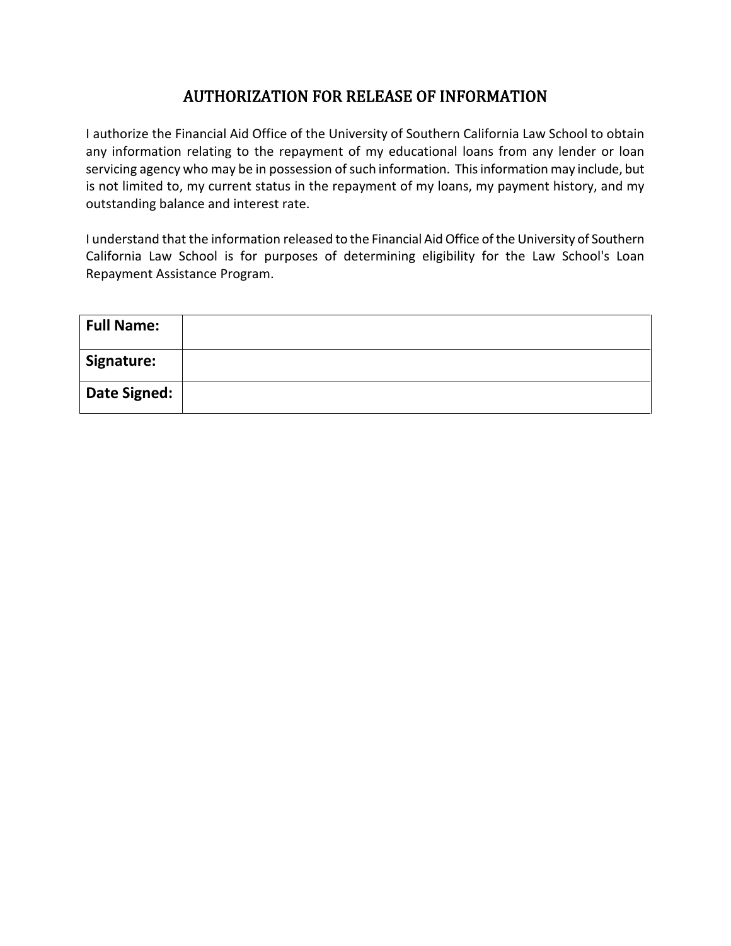# AUTHORIZATION FOR RELEASE OF INFORMATION

I authorize the Financial Aid Office of the University of Southern California Law School to obtain any information relating to the repayment of my educational loans from any lender or loan servicing agency who may be in possession of such information. This information may include, but is not limited to, my current status in the repayment of my loans, my payment history, and my outstanding balance and interest rate.

I understand that the information released to the Financial Aid Office of the University of Southern California Law School is for purposes of determining eligibility for the Law School's Loan Repayment Assistance Program.

| <b>Full Name:</b>   |  |
|---------------------|--|
| Signature:          |  |
| <b>Date Signed:</b> |  |